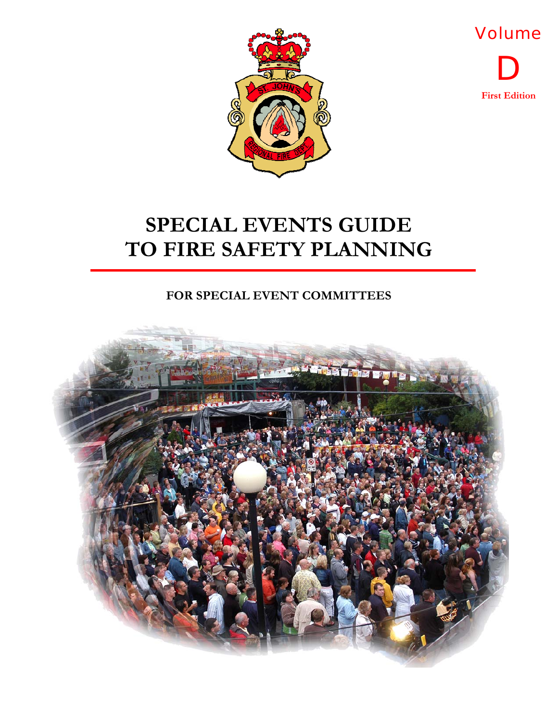



**FOR SPECIAL EVENT COMMITTEES** 

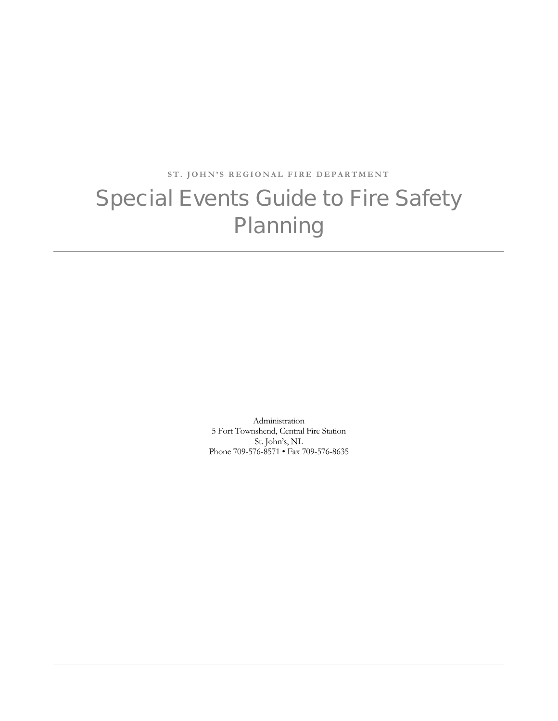**ST. JOHN'S REGIONAL FIRE DEPARTMENT** 

### Special Events Guide to Fire Safety **Planning**

Administration 5 Fort Townshend, Central Fire Station St. John's, NL Phone 709-576-8571 • Fax 709-576-8635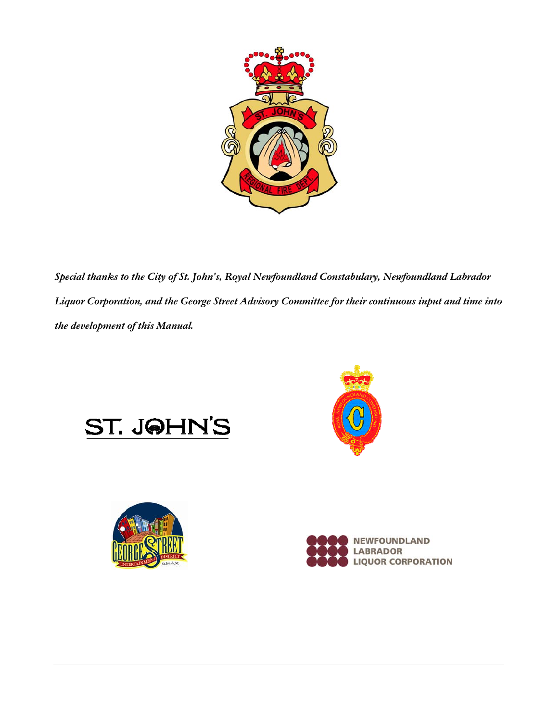

*Special thanks to the City of St. John's, Royal Newfoundland Constabulary, Newfoundland Labrador Liquor Corporation, and the George Street Advisory Committee for their continuous input and time into the development of this Manual.* 







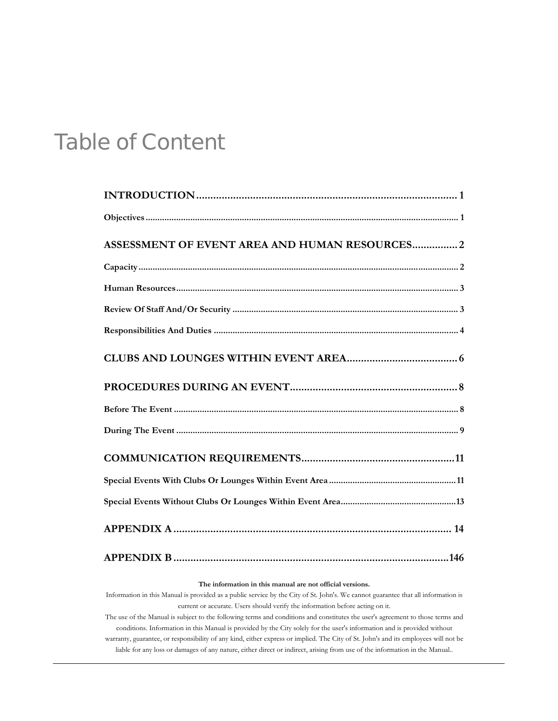### Table of Content

| <b>ASSESSMENT OF EVENT AREA AND HUMAN RESOURCES2</b> |
|------------------------------------------------------|
|                                                      |
|                                                      |
|                                                      |
|                                                      |
|                                                      |
|                                                      |
|                                                      |
|                                                      |
|                                                      |
|                                                      |
|                                                      |
|                                                      |
|                                                      |

#### **The information in this manual are not official versions.**

Information in this Manual is provided as a public service by the City of St. John's. We cannot guarantee that all information is current or accurate. Users should verify the information before acting on it.

The use of the Manual is subject to the following terms and conditions and constitutes the user's agreement to those terms and conditions. Information in this Manual is provided by the City solely for the user's information and is provided without warranty, guarantee, or responsibility of any kind, either express or implied. The City of St. John's and its employees will not be liable for any loss or damages of any nature, either direct or indirect, arising from use of the information in the Manual..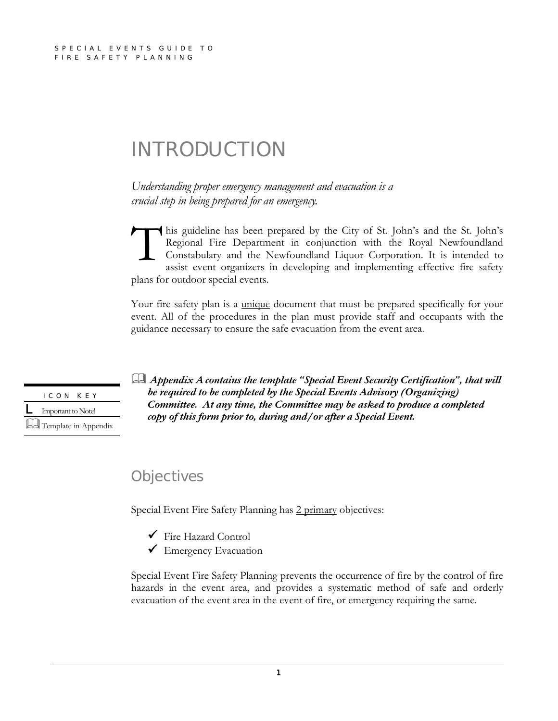### INTRODUCTION

*Understanding proper emergency management and evacuation is a crucial step in being prepared for an emergency.* 

his guideline has been prepared by the City of St. John's and the St. John's Regional Fire Department in conjunction with the Royal Newfoundland Constabulary and the Newfoundland Liquor Corporation. It is intended to assist event organizers in developing and implementing effective fire safety plans for outdoor special events.  $\prod_{\substack{Re\\ \text{cos}\n\end{math}}$ 

Your fire safety plan is a unique document that must be prepared specifically for your event. All of the procedures in the plan must provide staff and occupants with the guidance necessary to ensure the safe evacuation from the event area.



  *Appendix Acontains the template "Special Event Security Certification", that will be required to be completed by the Special Events Advisory (Organizing) Committee. At any time, the Committee may be asked to produce a completed copy of this form prior to, during and/or after a Special Event.*

### **Objectives**

Special Event Fire Safety Planning has 2 primary objectives:

- 9 Fire Hazard Control
- ◆ Emergency Evacuation

Special Event Fire Safety Planning prevents the occurrence of fire by the control of fire hazards in the event area, and provides a systematic method of safe and orderly evacuation of the event area in the event of fire, or emergency requiring the same.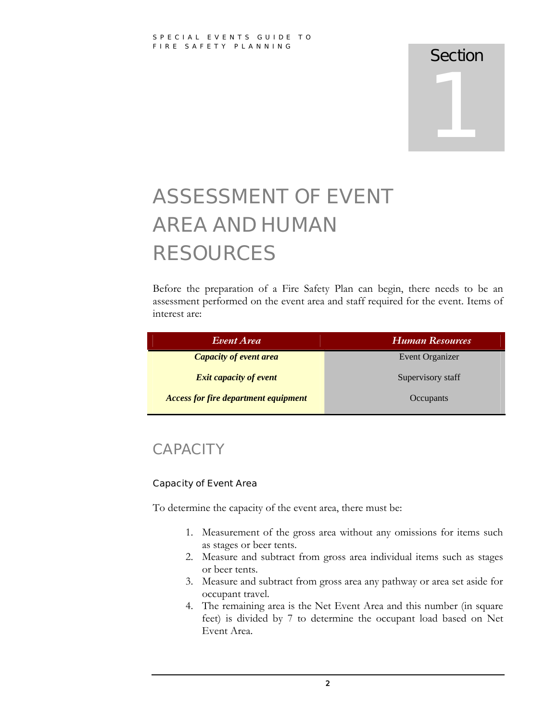# 1

### ASSESSMENT OF EVENT AREA AND HUMAN RESOURCES

Before the preparation of a Fire Safety Plan can begin, there needs to be an assessment performed on the event area and staff required for the event. Items of interest are:

| Event Area                                  | Human Resources   |
|---------------------------------------------|-------------------|
| <b>Capacity of event area</b>               | Event Organizer   |
| <b>Exit capacity of event</b>               | Supervisory staff |
| <b>Access for fire department equipment</b> | Occupants         |

### **CAPACITY**

### Capacity of Event Area

To determine the capacity of the event area, there must be:

- 1. Measurement of the gross area without any omissions for items such as stages or beer tents.
- 2. Measure and subtract from gross area individual items such as stages or beer tents.
- 3. Measure and subtract from gross area any pathway or area set aside for occupant travel.
- 4. The remaining area is the Net Event Area and this number (in square feet) is divided by 7 to determine the occupant load based on Net Event Area.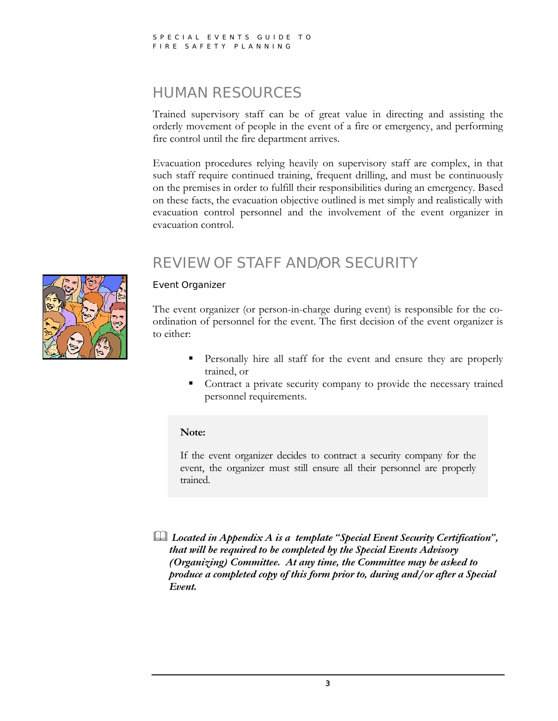### HUMAN RESOURCES

Trained supervisory staff can be of great value in directing and assisting the orderly movement of people in the event of a fire or emergency, and performing fire control until the fire department arrives.

Evacuation procedures relying heavily on supervisory staff are complex, in that such staff require continued training, frequent drilling, and must be continuously on the premises in order to fulfill their responsibilities during an emergency. Based on these facts, the evacuation objective outlined is met simply and realistically with evacuation control personnel and the involvement of the event organizer in evacuation control.

### REVIEW OF STAFF AND/OR SECURITY



### Event Organizer

The event organizer (or person-in-charge during event) is responsible for the coordination of personnel for the event. The first decision of the event organizer is to either:

- **Personally hire all staff for the event and ensure they are properly** trained, or
- Contract a private security company to provide the necessary trained personnel requirements.

#### **Note:**

If the event organizer decides to contract a security company for the event, the organizer must still ensure all their personnel are properly trained.

  *Located in Appendix A is a template "Special Event Security Certification", that will be required to be completed by the Special Events Advisory (Organizing) Committee. At any time, the Committee may be asked to produce a completed copy of this form prior to, during and/or after a Special Event.*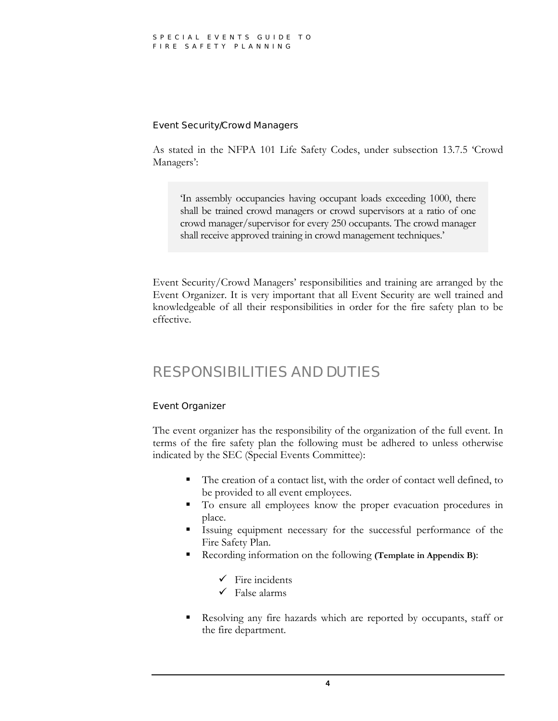#### Event Security/Crowd Managers

As stated in the NFPA 101 Life Safety Codes, under subsection 13.7.5 'Crowd Managers':

'In assembly occupancies having occupant loads exceeding 1000, there shall be trained crowd managers or crowd supervisors at a ratio of one crowd manager/supervisor for every 250 occupants. The crowd manager shall receive approved training in crowd management techniques.'

Event Security/Crowd Managers' responsibilities and training are arranged by the Event Organizer. It is very important that all Event Security are well trained and knowledgeable of all their responsibilities in order for the fire safety plan to be effective.

### RESPONSIBILITIES AND DUTIES

### Event Organizer

The event organizer has the responsibility of the organization of the full event. In terms of the fire safety plan the following must be adhered to unless otherwise indicated by the SEC (Special Events Committee):

- The creation of a contact list, with the order of contact well defined, to be provided to all event employees.
- To ensure all employees know the proper evacuation procedures in place.
- Issuing equipment necessary for the successful performance of the Fire Safety Plan.
- Recording information on the following **(Template in Appendix B)**:
	- $\checkmark$  Fire incidents
	- $\checkmark$  False alarms
- Resolving any fire hazards which are reported by occupants, staff or the fire department.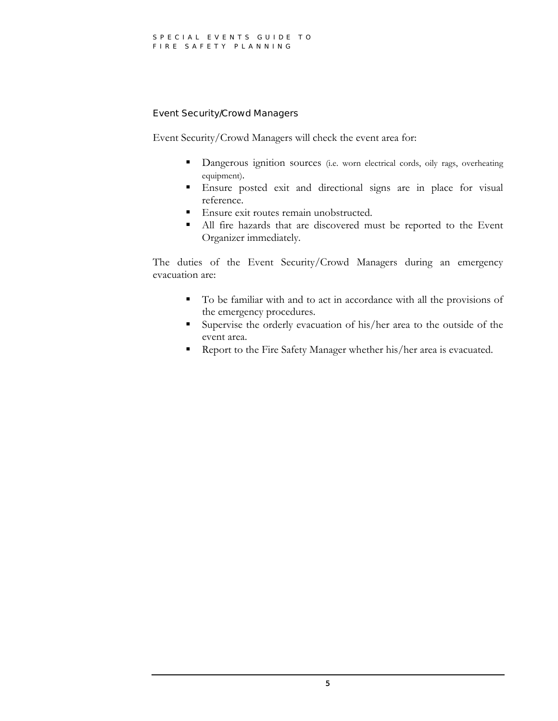#### Event Security/Crowd Managers

Event Security/Crowd Managers will check the event area for:

- Dangerous ignition sources (i.e. worn electrical cords, oily rags, overheating equipment).
- Ensure posted exit and directional signs are in place for visual reference.
- Ensure exit routes remain unobstructed.
- All fire hazards that are discovered must be reported to the Event Organizer immediately.

The duties of the Event Security/Crowd Managers during an emergency evacuation are:

- To be familiar with and to act in accordance with all the provisions of the emergency procedures.
- Supervise the orderly evacuation of his/her area to the outside of the event area.
- Report to the Fire Safety Manager whether his/her area is evacuated.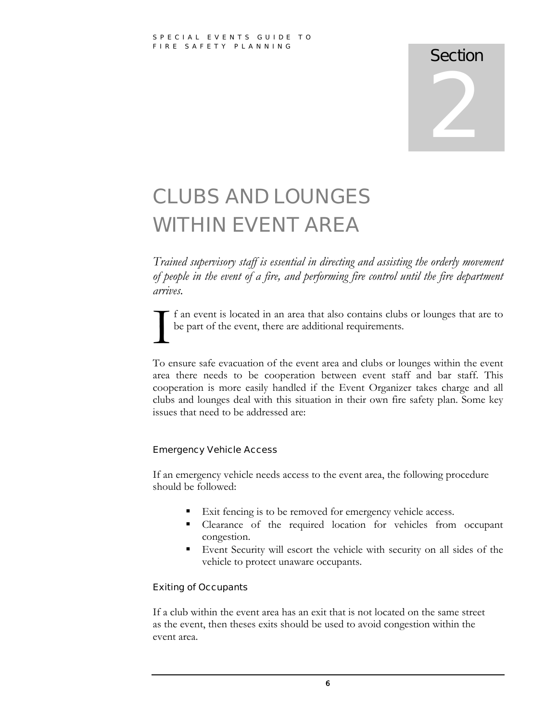### CLUBS AND LOUNGES WITHIN EVENT AREA

*Trained supervisory staff is essential in directing and assisting the orderly movement of people in the event of a fire, and performing fire control until the fire department arrives.* 

f an event is located in an area that also contains clubs or lounges that are to I be part of the event, there are additional requirements.

To ensure safe evacuation of the event area and clubs or lounges within the event area there needs to be cooperation between event staff and bar staff. This cooperation is more easily handled if the Event Organizer takes charge and all clubs and lounges deal with this situation in their own fire safety plan. Some key issues that need to be addressed are:

### Emergency Vehicle Access

If an emergency vehicle needs access to the event area, the following procedure should be followed:

- Exit fencing is to be removed for emergency vehicle access.
- Clearance of the required location for vehicles from occupant congestion.
- Event Security will escort the vehicle with security on all sides of the vehicle to protect unaware occupants.

### Exiting of Occupants

If a club within the event area has an exit that is not located on the same street as the event, then theses exits should be used to avoid congestion within the event area.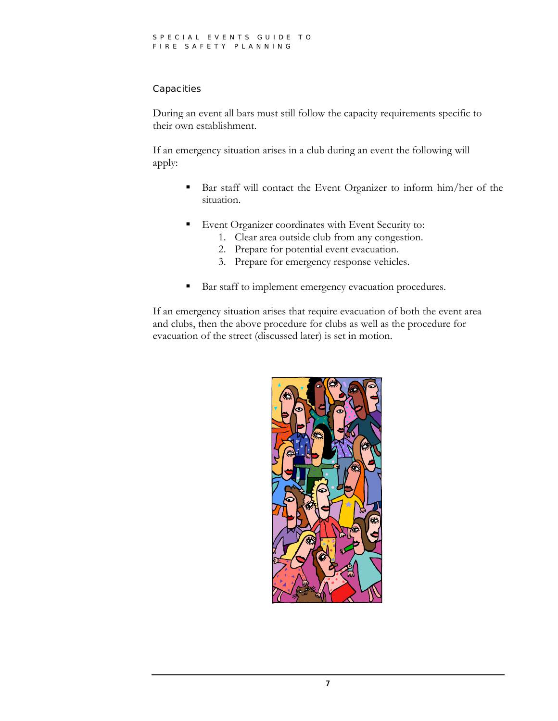### **Capacities**

During an event all bars must still follow the capacity requirements specific to their own establishment.

If an emergency situation arises in a club during an event the following will apply:

- Bar staff will contact the Event Organizer to inform him/her of the situation.
- **Event Organizer coordinates with Event Security to:** 
	- 1. Clear area outside club from any congestion.
	- 2. Prepare for potential event evacuation.
	- 3. Prepare for emergency response vehicles.
- Bar staff to implement emergency evacuation procedures.

If an emergency situation arises that require evacuation of both the event area and clubs, then the above procedure for clubs as well as the procedure for evacuation of the street (discussed later) is set in motion.

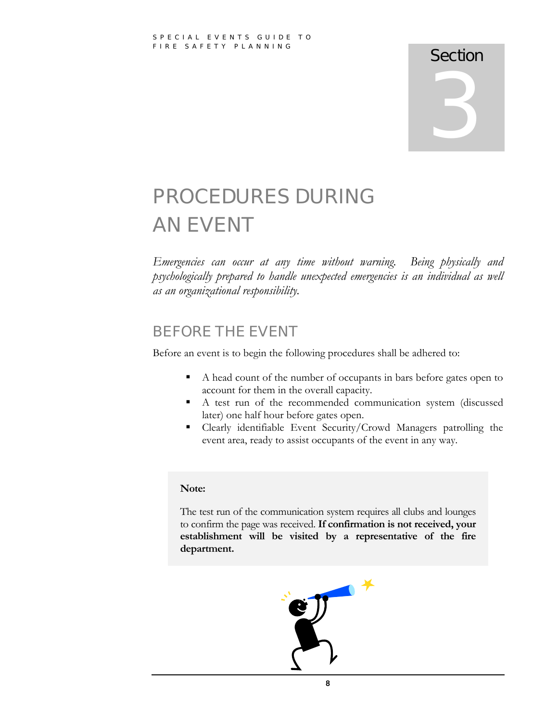### PROCEDURES DURING AN EVENT

*Emergencies can occur at any time without warning. Being physically and psychologically prepared to handle unexpected emergencies is an individual as well as an organizational responsibility.* 

### BEFORE THE EVENT

Before an event is to begin the following procedures shall be adhered to:

- A head count of the number of occupants in bars before gates open to account for them in the overall capacity.
- A test run of the recommended communication system (discussed later) one half hour before gates open.
- Clearly identifiable Event Security/Crowd Managers patrolling the event area, ready to assist occupants of the event in any way.

### **Note:**

The test run of the communication system requires all clubs and lounges to confirm the page was received. **If confirmation is not received, your establishment will be visited by a representative of the fire department.** 

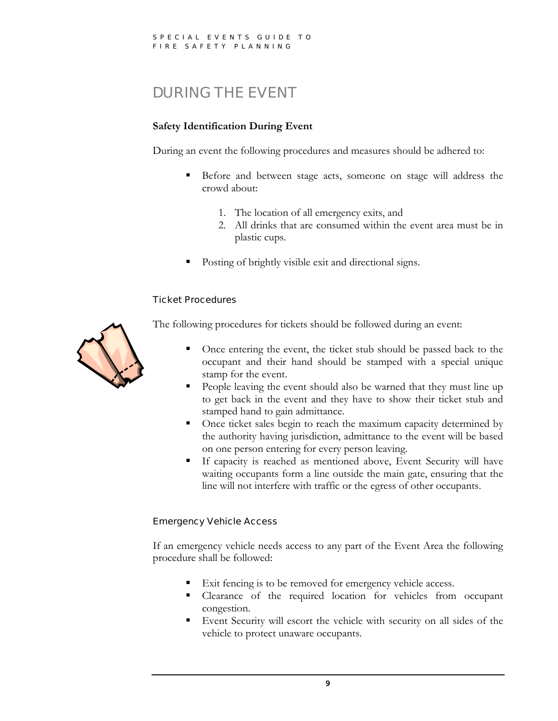### DURING THE EVENT

### **Safety Identification During Event**

During an event the following procedures and measures should be adhered to:

- Before and between stage acts, someone on stage will address the crowd about:
	- 1. The location of all emergency exits, and
	- 2. All drinks that are consumed within the event area must be in plastic cups.
- Posting of brightly visible exit and directional signs.

### Ticket Procedures



The following procedures for tickets should be followed during an event:

- Once entering the event, the ticket stub should be passed back to the occupant and their hand should be stamped with a special unique stamp for the event.
- People leaving the event should also be warned that they must line up to get back in the event and they have to show their ticket stub and stamped hand to gain admittance.
- Once ticket sales begin to reach the maximum capacity determined by the authority having jurisdiction, admittance to the event will be based on one person entering for every person leaving.
- If capacity is reached as mentioned above, Event Security will have waiting occupants form a line outside the main gate, ensuring that the line will not interfere with traffic or the egress of other occupants.

### Emergency Vehicle Access

If an emergency vehicle needs access to any part of the Event Area the following procedure shall be followed:

- Exit fencing is to be removed for emergency vehicle access.
- Clearance of the required location for vehicles from occupant congestion.
- Event Security will escort the vehicle with security on all sides of the vehicle to protect unaware occupants.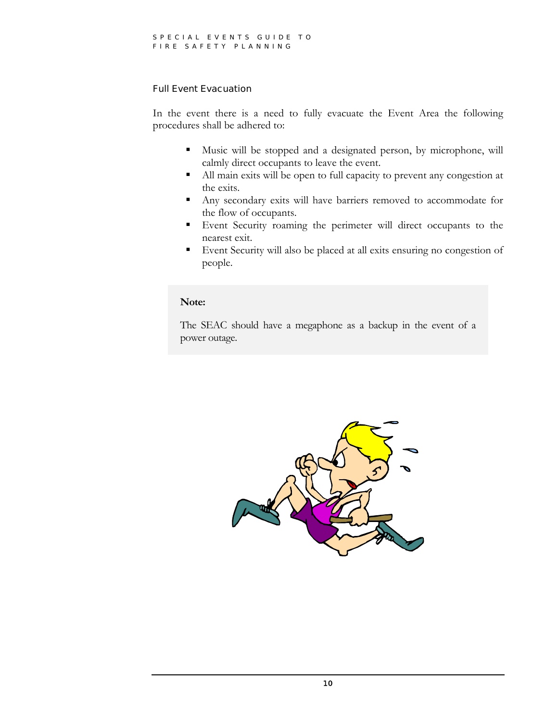### Full Event Evacuation

In the event there is a need to fully evacuate the Event Area the following procedures shall be adhered to:

- Music will be stopped and a designated person, by microphone, will calmly direct occupants to leave the event.
- All main exits will be open to full capacity to prevent any congestion at the exits.
- Any secondary exits will have barriers removed to accommodate for the flow of occupants.
- Event Security roaming the perimeter will direct occupants to the nearest exit.
- Event Security will also be placed at all exits ensuring no congestion of people.

#### **Note:**

The SEAC should have a megaphone as a backup in the event of a power outage.

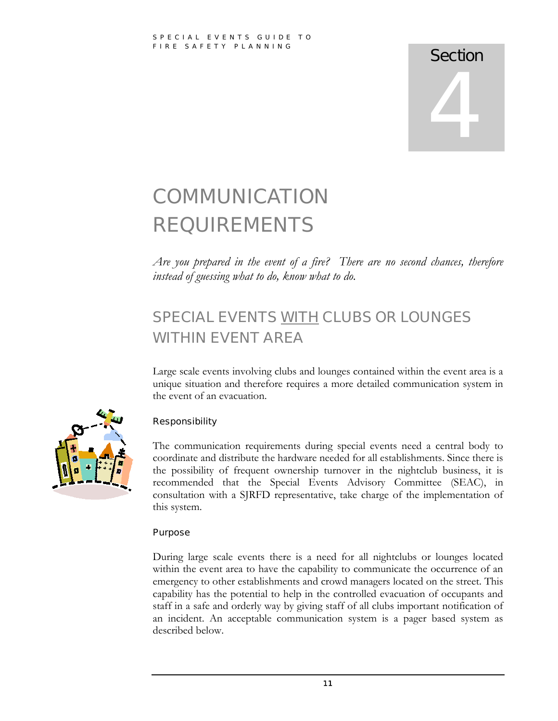### **COMMUNICATION** REQUIREMENTS

*Are you prepared in the event of a fire? There are no second chances, therefore instead of guessing what to do, know what to do.* 

### SPECIAL EVENTS WITH CLUBS OR LOUNGES WITHIN EVENT AREA

Large scale events involving clubs and lounges contained within the event area is a unique situation and therefore requires a more detailed communication system in the event of an evacuation.



### **Responsibility**

The communication requirements during special events need a central body to coordinate and distribute the hardware needed for all establishments. Since there is the possibility of frequent ownership turnover in the nightclub business, it is recommended that the Special Events Advisory Committee (SEAC), in consultation with a SJRFD representative, take charge of the implementation of this system.

### Purpose

During large scale events there is a need for all nightclubs or lounges located within the event area to have the capability to communicate the occurrence of an emergency to other establishments and crowd managers located on the street. This capability has the potential to help in the controlled evacuation of occupants and staff in a safe and orderly way by giving staff of all clubs important notification of an incident. An acceptable communication system is a pager based system as described below.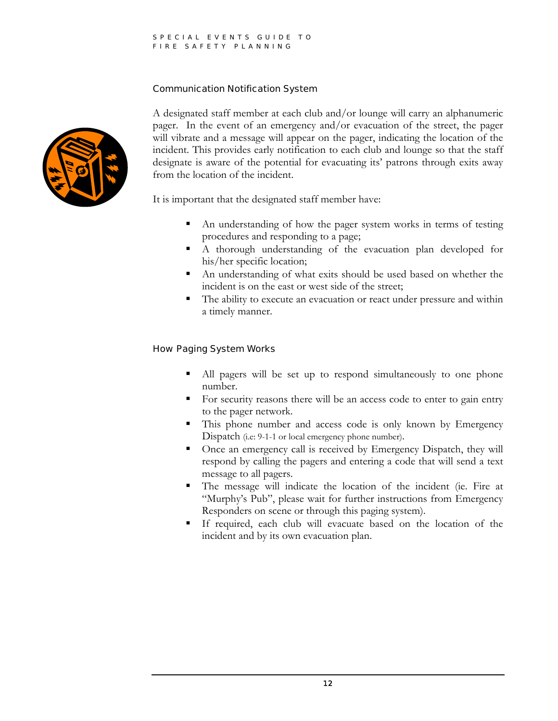### Communication Notification System



A designated staff member at each club and/or lounge will carry an alphanumeric pager. In the event of an emergency and/or evacuation of the street, the pager will vibrate and a message will appear on the pager, indicating the location of the incident. This provides early notification to each club and lounge so that the staff designate is aware of the potential for evacuating its' patrons through exits away from the location of the incident.

It is important that the designated staff member have:

- An understanding of how the pager system works in terms of testing procedures and responding to a page;
- A thorough understanding of the evacuation plan developed for his/her specific location;
- An understanding of what exits should be used based on whether the incident is on the east or west side of the street;
- The ability to execute an evacuation or react under pressure and within a timely manner.

### How Paging System Works

- All pagers will be set up to respond simultaneously to one phone number.
- For security reasons there will be an access code to enter to gain entry to the pager network.
- This phone number and access code is only known by Emergency Dispatch (i.e: 9-1-1 or local emergency phone number).
- Once an emergency call is received by Emergency Dispatch, they will respond by calling the pagers and entering a code that will send a text message to all pagers.
- The message will indicate the location of the incident (ie. Fire at "Murphy's Pub", please wait for further instructions from Emergency Responders on scene or through this paging system).
- If required, each club will evacuate based on the location of the incident and by its own evacuation plan.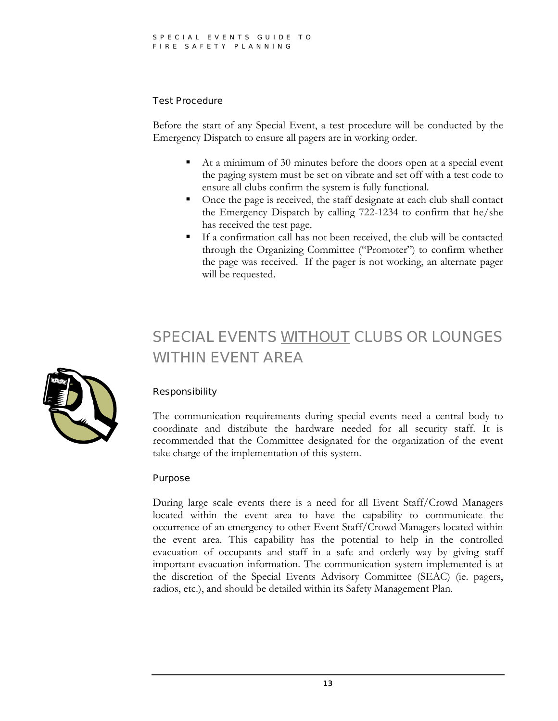### Test Procedure

Before the start of any Special Event, a test procedure will be conducted by the Emergency Dispatch to ensure all pagers are in working order.

- At a minimum of 30 minutes before the doors open at a special event the paging system must be set on vibrate and set off with a test code to ensure all clubs confirm the system is fully functional.
- Once the page is received, the staff designate at each club shall contact the Emergency Dispatch by calling 722-1234 to confirm that he/she has received the test page.
- If a confirmation call has not been received, the club will be contacted through the Organizing Committee ("Promoter") to confirm whether the page was received. If the pager is not working, an alternate pager will be requested.

### SPECIAL EVENTS WITHOUT CLUBS OR LOUNGES WITHIN EVENT AREA



### Responsibility

The communication requirements during special events need a central body to coordinate and distribute the hardware needed for all security staff. It is recommended that the Committee designated for the organization of the event take charge of the implementation of this system.

### Purpose

During large scale events there is a need for all Event Staff/Crowd Managers located within the event area to have the capability to communicate the occurrence of an emergency to other Event Staff/Crowd Managers located within the event area. This capability has the potential to help in the controlled evacuation of occupants and staff in a safe and orderly way by giving staff important evacuation information. The communication system implemented is at the discretion of the Special Events Advisory Committee (SEAC) (ie. pagers, radios, etc.), and should be detailed within its Safety Management Plan.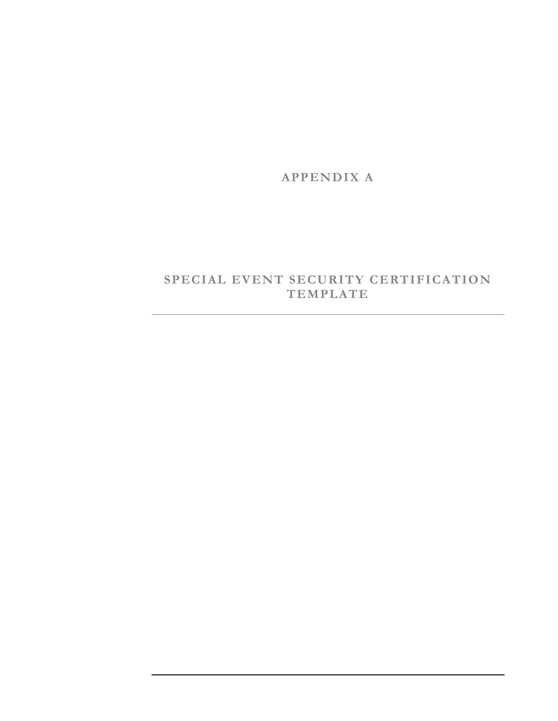**APPENDIX A** 

### **SPECIAL EVENT SECURITY CERTIFICATION TEMPLATE**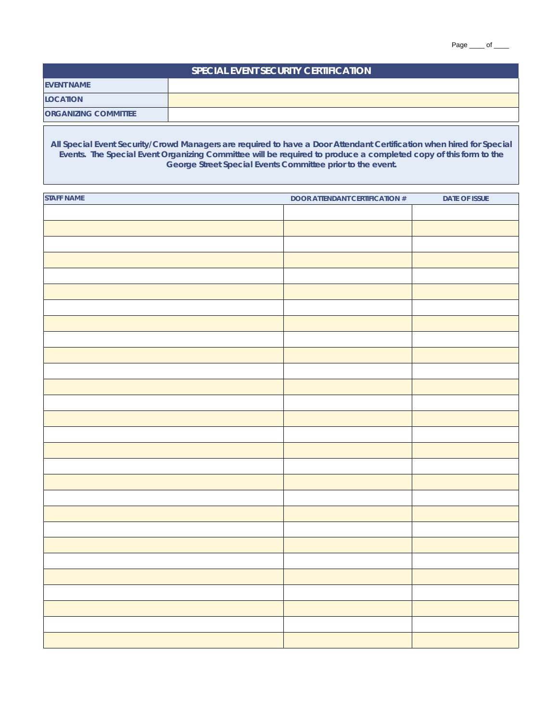| <b>SPECIAL EVENT SECURITY CERTIFICATION</b> |  |  |  |  |
|---------------------------------------------|--|--|--|--|
| <b>EVENT NAME</b>                           |  |  |  |  |
| <b>LOCATION</b>                             |  |  |  |  |
| <b>ORGANIZING COMMITTEE</b>                 |  |  |  |  |

**All Special Event Security/Crowd Managers are required to have a Door Attendant Certification when hired for Special Events. The Special Event Organizing Committee will be required to produce a completed copy of this form to the George Street Special Events Committee prior to the event.**

| <b>STAFF NAME</b> | <b>DOOR ATTENDANT CERTIFICATION #</b> | DATE OF ISSUE |
|-------------------|---------------------------------------|---------------|
|                   |                                       |               |
|                   |                                       |               |
|                   |                                       |               |
|                   |                                       |               |
|                   |                                       |               |
|                   |                                       |               |
|                   |                                       |               |
|                   |                                       |               |
|                   |                                       |               |
|                   |                                       |               |
|                   |                                       |               |
|                   |                                       |               |
|                   |                                       |               |
|                   |                                       |               |
|                   |                                       |               |
|                   |                                       |               |
|                   |                                       |               |
|                   |                                       |               |
|                   |                                       |               |
|                   |                                       |               |
|                   |                                       |               |
|                   |                                       |               |
|                   |                                       |               |
|                   |                                       |               |
|                   |                                       |               |
|                   |                                       |               |
|                   |                                       |               |
|                   |                                       |               |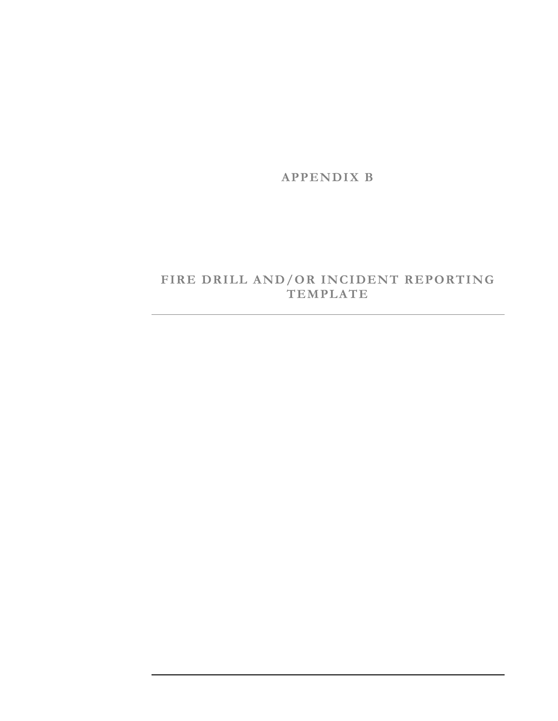**APPENDIX B** 

### **FIRE DRILL AND/OR INCIDENT REPORTING TEMPLATE**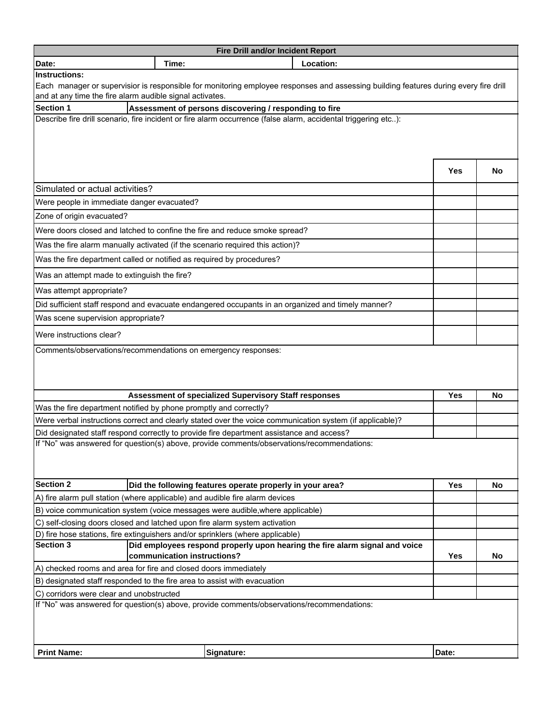| Location:<br>Date:<br>Time:                                                                                                                                                                      |            |           |  |  |  |
|--------------------------------------------------------------------------------------------------------------------------------------------------------------------------------------------------|------------|-----------|--|--|--|
| <b>Instructions:</b>                                                                                                                                                                             |            |           |  |  |  |
| Each manager or supervisior is responsible for monitoring employee responses and assessing building features during every fire drill<br>and at any time the fire alarm audible signal activates. |            |           |  |  |  |
| <b>Section 1</b><br>Assessment of persons discovering / responding to fire                                                                                                                       |            |           |  |  |  |
| Describe fire drill scenario, fire incident or fire alarm occurrence (false alarm, accidental triggering etc):                                                                                   |            |           |  |  |  |
|                                                                                                                                                                                                  |            |           |  |  |  |
|                                                                                                                                                                                                  |            |           |  |  |  |
|                                                                                                                                                                                                  |            |           |  |  |  |
|                                                                                                                                                                                                  | Yes        | No        |  |  |  |
| Simulated or actual activities?                                                                                                                                                                  |            |           |  |  |  |
| Were people in immediate danger evacuated?                                                                                                                                                       |            |           |  |  |  |
| Zone of origin evacuated?                                                                                                                                                                        |            |           |  |  |  |
| Were doors closed and latched to confine the fire and reduce smoke spread?                                                                                                                       |            |           |  |  |  |
| Was the fire alarm manually activated (if the scenario required this action)?                                                                                                                    |            |           |  |  |  |
| Was the fire department called or notified as required by procedures?                                                                                                                            |            |           |  |  |  |
| Was an attempt made to extinguish the fire?                                                                                                                                                      |            |           |  |  |  |
| Was attempt appropriate?                                                                                                                                                                         |            |           |  |  |  |
| Did sufficient staff respond and evacuate endangered occupants in an organized and timely manner?                                                                                                |            |           |  |  |  |
| Was scene supervision appropriate?                                                                                                                                                               |            |           |  |  |  |
| Were instructions clear?                                                                                                                                                                         |            |           |  |  |  |
| Comments/observations/recommendations on emergency responses:                                                                                                                                    |            |           |  |  |  |
|                                                                                                                                                                                                  |            |           |  |  |  |
|                                                                                                                                                                                                  |            |           |  |  |  |
|                                                                                                                                                                                                  |            |           |  |  |  |
| Assessment of specialized Supervisory Staff responses<br>Was the fire department notified by phone promptly and correctly?                                                                       | Yes        | <b>No</b> |  |  |  |
| Were verbal instructions correct and clearly stated over the voice communication system (if applicable)?                                                                                         |            |           |  |  |  |
| Did designated staff respond correctly to provide fire department assistance and access?                                                                                                         |            |           |  |  |  |
| If "No" was answered for question(s) above, provide comments/observations/recommendations:                                                                                                       |            |           |  |  |  |
|                                                                                                                                                                                                  |            |           |  |  |  |
|                                                                                                                                                                                                  |            |           |  |  |  |
| <b>Section 2</b><br>Did the following features operate properly in your area?                                                                                                                    | <b>Yes</b> | No        |  |  |  |
| A) fire alarm pull station (where applicable) and audible fire alarm devices                                                                                                                     |            |           |  |  |  |
| B) voice communication system (voice messages were audible, where applicable)                                                                                                                    |            |           |  |  |  |
| C) self-closing doors closed and latched upon fire alarm system activation                                                                                                                       |            |           |  |  |  |
| D) fire hose stations, fire extinguishers and/or sprinklers (where applicable)                                                                                                                   |            |           |  |  |  |
| <b>Section 3</b><br>Did employees respond properly upon hearing the fire alarm signal and voice                                                                                                  |            |           |  |  |  |
| communication instructions?                                                                                                                                                                      | <b>Yes</b> | No        |  |  |  |
| A) checked rooms and area for fire and closed doors immediately                                                                                                                                  |            |           |  |  |  |
| B) designated staff responded to the fire area to assist with evacuation                                                                                                                         |            |           |  |  |  |
| C) corridors were clear and unobstructed<br>If "No" was answered for question(s) above, provide comments/observations/recommendations:                                                           |            |           |  |  |  |
|                                                                                                                                                                                                  |            |           |  |  |  |
|                                                                                                                                                                                                  |            |           |  |  |  |
|                                                                                                                                                                                                  |            |           |  |  |  |
| <b>Print Name:</b><br>Signature:                                                                                                                                                                 | Date:      |           |  |  |  |